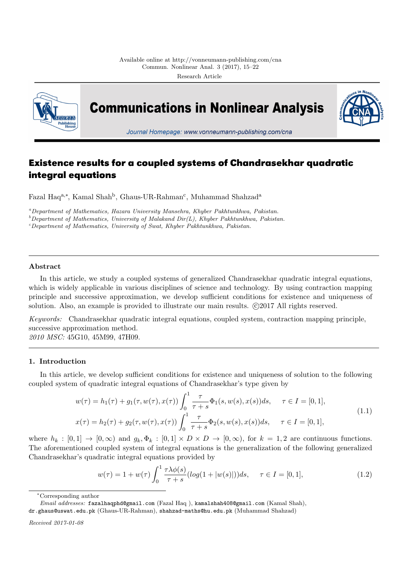

# **Existence results for a coupled systems of Chandrasekhar quadratic integral equations**

Fazal Haq<sup>a,∗</sup>, Kamal Shah<sup>b</sup>, Ghaus-UR-Rahman<sup>c</sup>, Muhammad Shahzad<sup>a</sup>

*<sup>a</sup>Department of Mathematics, Hazara University Mansehra, Khyber Pakhtunkhwa, Pakistan.*

*<sup>b</sup>Department of Mathematics, University of Malakand Dir(L), Khyber Pakhtunkhwa, Pakistan.*

*<sup>c</sup>Department of Mathematics, University of Swat, Khyber Pakhtunkhwa, Pakistan.*

# **Abstract**

In this article, we study a coupled systems of generalized Chandrasekhar quadratic integral equations, which is widely applicable in various disciplines of science and technology. By using contraction mapping principle and successive approximation, we develop sufficient conditions for existence and uniqueness of solution. Also, an example is provided to illustrate our main results.  $\odot$ 2017 All rights reserved.

*Keywords:* Chandrasekhar quadratic integral equations, coupled system, contraction mapping principle, successive approximation method.

*2010 MSC:* 45G10, 45M99, 47H09.

# **1. Introduction**

In this article, we develop sufficient conditions for existence and uniqueness of solution to the following coupled system of quadratic integral equations of Chandrasekhar's type given by

$$
w(\tau) = h_1(\tau) + g_1(\tau, w(\tau), x(\tau)) \int_0^1 \frac{\tau}{\tau + s} \Phi_1(s, w(s), x(s)) ds, \quad \tau \in I = [0, 1],
$$
  
\n
$$
x(\tau) = h_2(\tau) + g_2(\tau, w(\tau), x(\tau)) \int_0^1 \frac{\tau}{\tau + s} \Phi_2(s, w(s), x(s)) ds, \quad \tau \in I = [0, 1],
$$
\n(1.1)

where  $h_k : [0,1] \to [0,\infty)$  and  $g_k, \Phi_k : [0,1] \times D \times D \to [0,\infty)$ , for  $k = 1,2$  are continuous functions. The aforementioned coupled system of integral equations is the generalization of the following generalized Chandrasekhar's quadratic integral equations provided by

<span id="page-0-0"></span>
$$
w(\tau) = 1 + w(\tau) \int_0^1 \frac{\tau \lambda \phi(s)}{\tau + s} (\log(1 + |w(s)|)) ds, \quad \tau \in I = [0, 1],
$$
\n(1.2)

*<sup>∗</sup>*Corresponding author

*Email addresses:* fazalhaqphd@gmail.com (Fazal Haq ), kamalshah408@gmail.com (Kamal Shah),

dr.ghaus@uswat.edu.pk (Ghaus-UR-Rahman), shahzad-maths@hu.edu.pk (Muhammad Shahzad)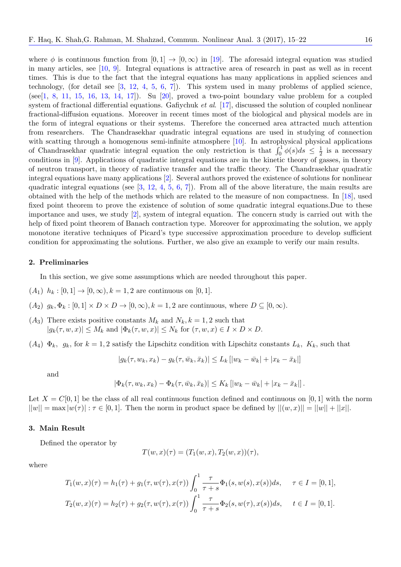where  $\phi$  is continuous function from  $[0, 1] \rightarrow [0, \infty)$  in [19]. The aforesaid integral equation was studied in many articles, see [10, 9]. Integral equations is attractive area of research in past as well as in recent times. This is due to the fact that the integral equations has many applications in applied sciences and technology, (for detail see  $\begin{bmatrix} 3, 12, 4, 5, 6, 7 \end{bmatrix}$ ). This system used in many problems of applied science,  $(see [1, 8, 11, 15, 16, 13, 14, 17])$ . Su [20], proved a [two](#page-7-0)-point boundary value problem for a coupled system of fractional di[ffer](#page-6-0)[en](#page-6-1)tial equations. Gafiychuk *et al*. [17], discussed the solution of coupled nonlinear fractional-diffusion equations. Moreover in recent times most of the biological and physical models are in the form of integral equati[on](#page-6-2)s [or](#page-7-1) [th](#page-6-3)e[ir](#page-6-4) [sy](#page-6-5)s[te](#page-6-6)ms. Therefore the concerned area attracted much attention fro[m](#page-6-7) r[es](#page-6-8)e[arc](#page-7-2)h[ers](#page-7-3). [T](#page-7-4)h[e C](#page-7-5)[han](#page-7-6)[dra](#page-7-7)sekhar [qua](#page-7-8)dratic integral equations are used in studying of connection with scatting through a homogenous semi-infinite atmosph[ere](#page-7-7) [10]. In astrophysical physical applications of Chandrasekhar quadratic integral equation the only restriction is that  $\int_0^1 \phi(s) ds \leq \frac{1}{2}$  $\frac{1}{2}$  is a necessary conditions in [9]. Applications of quadratic integral equations are in the kinetic theory of gasses, in theory of neutron transport, in theory of radiative transfer and the traffic theory. The Chandrasekhar quadratic integral equations have many applications [2]. Several authors pr[ove](#page-6-0)d the existence of solutions for nonlinear quadratic integral equations (see  $[3, 12, 4, 5, 6, 7]$ ). From all of the above literature, the main results are obtained with [t](#page-6-1)he help of the methods which are related to the measure of non compactness. In [18], used fixed point theorem to prove the existence of solution of some quadratic integral equations.Due to these importance and uses, we study [2], system [o](#page-6-9)f integral equation. The concern study is carried out with the help of fixed point theorem of Ban[ac](#page-6-2)[h c](#page-7-1)o[nt](#page-6-3)r[a](#page-6-4)c[tio](#page-6-5)[n](#page-6-6) type. Moreover for approximating the solution, we apply monotone iterative techniques of Picard's type successive approximation procedure to develop [suffi](#page-7-9)cient condition for approximating the [so](#page-6-9)lutions. Further, we also give an example to verify our main results.

## **2. Preliminaries**

In this section, we give some assumptions which are needed throughout this paper.

- $(h_1)$   $h_k : [0,1] \to [0,\infty), k = 1,2$  are continuous on [0,1].
- $(A_2)$   $g_k, \Phi_k : [0,1] \times D \times D \rightarrow [0,\infty), k = 1,2$  are continuous, where  $D \subseteq [0,\infty)$ .
- $(A_3)$  There exists positive constants  $M_k$  and  $N_k$ ,  $k = 1, 2$  such that  $|g_k(\tau, w, x)| \leq M_k$  and  $|\Phi_k(\tau, w, x)| \leq N_k$  for  $(\tau, w, x) \in I \times D \times D$ .
- $(A_4) \Phi_k$ ,  $g_k$ , for  $k = 1, 2$  satisfy the Lipschitz condition with Lipschitz constants  $L_k$ *, K<sub>k</sub>*, such that

$$
|g_k(\tau, w_k, x_k) - g_k(\tau, \bar{w}_k, \bar{x}_k)| \le L_k [|w_k - \bar{w}_k| + |x_k - \bar{x}_k|]
$$

and

$$
|\Phi_k(\tau, w_k, x_k) - \Phi_k(\tau, \bar{w}_k, \bar{x}_k)| \leq K_k \left[ |w_k - \bar{w}_k| + |x_k - \bar{x}_k| \right].
$$

Let  $X = C[0, 1]$  be the class of all real continuous function defined and continuous on [0, 1] with the norm  $||w|| = \max |w(\tau)| : \tau \in [0,1].$  Then the norm in product space be defined by  $||(w, x)|| = ||w|| + ||x||.$ 

#### **3. Main Result**

Defined the operator by

$$
T(w,x)(\tau) = (T_1(w,x), T_2(w,x))(\tau),
$$

where

$$
T_1(w,x)(\tau) = h_1(\tau) + g_1(\tau, w(\tau), x(\tau)) \int_0^1 \frac{\tau}{\tau + s} \Phi_1(s, w(s), x(s)) ds, \quad \tau \in I = [0, 1],
$$
  

$$
T_2(w,x)(\tau) = h_2(\tau) + g_2(\tau, w(\tau), x(\tau)) \int_0^1 \frac{\tau}{\tau + s} \Phi_2(s, w(\tau), x(s)) ds, \quad t \in I = [0, 1].
$$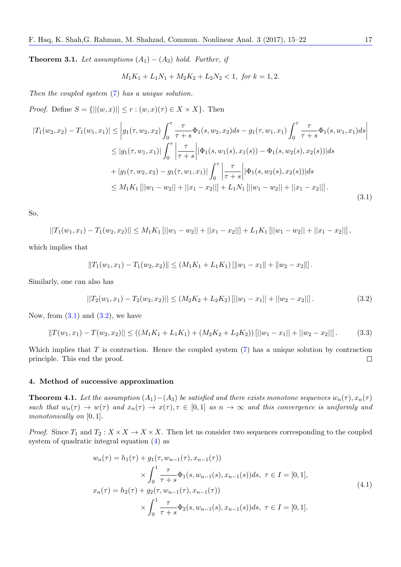**Theorem 3.1.** *Let assumptions*  $(A_1) - (A_3)$  *hold. Further, if* 

<span id="page-2-0"></span>
$$
M_1K_1 + L_1N_1 + M_2K_2 + L_2N_2 < 1, \text{ for } k = 1, 2.
$$

*Then the coupled system* (7) *has a unique solution.*

*Proof.* Define  $S = \{||(w, x)|| \leq r : (w, x)(\tau) \in X \times X\}$ . Then

$$
|T_1(w_2, x_2) - T_1(w_1, x_1)| \leq |g_1(\tau, w_2, x_2)| \int_0^\tau \frac{\tau}{\tau + s} \Phi_1(s, w_2, x_2) ds - g_1(\tau, w_1, x_1) \int_0^\tau \frac{\tau}{\tau + s} \Phi_1(s, w_1, x_1) ds |
$$
  
\n
$$
\leq |g_1(\tau, w_1, x_1)| \int_0^\tau \frac{\tau}{|\tau + s|} |\Phi_1(s, w_1(s), x_1(s)) - \Phi_1(s, w_2(s), x_2(s))| ds
$$
  
\n
$$
+ |g_1(\tau, w_2, x_2) - g_1(\tau, w_1, x_1)| \int_0^\tau \frac{\tau}{|\tau + s|} |\Phi_1(s, w_2(s), x_2(s))| ds
$$
  
\n
$$
\leq M_1 K_1 [||w_1 - w_2|| + ||x_1 - x_2||] + L_1 N_1 [||w_1 - w_2|| + ||x_1 - x_2||].
$$
\n(3.1)

So,

$$
||T_1(w_1,x_1)-T_1(w_2,x_2)|| \leq M_1K_1 \left[||w_1-w_2||+||x_1-x_2||\right]+L_1K_1 \left[||w_1-w_2||+||x_1-x_2||\right],
$$

which implies that

$$
||T_1(w_1,x_1)-T_1(w_2,x_2)|| \leq (M_1K_1+L_1K_1) [||w_1-x_1||+||w_2-x_2||].
$$

Similarly, one can also has

<span id="page-2-1"></span>
$$
||T_2(w_1, x_1) - T_2(w_2, x_2)|| \le (M_2K_2 + L_2K_2) [||w_1 - x_1|| + ||w_2 - x_2||]. \tag{3.2}
$$

Now, from  $(3.1)$  and  $(3.2)$ , we have

$$
||T(w_1, x_1) - T(w_2, x_2)|| \le ((M_1K_1 + L_1K_1) + (M_2K_2 + L_2K_2)) [||w_1 - x_1|| + ||w_2 - x_2||].
$$
 (3.3)

Which impl[ies](#page-2-0) that *T* [is](#page-2-1) contraction. Hence the coupled system (7) has a unique solution by contraction principle. This end the proof.  $\Box$ 

## **4. Method of successive approximation**

**Theorem 4.1.** Let the assumption  $(A_1) - (A_3)$  be satisfied and there exists monotone sequences  $w_n(\tau)$ ,  $x_n(\tau)$ such that  $w_n(\tau) \to w(\tau)$  and  $x_n(\tau) \to x(\tau), \tau \in [0,1]$  as  $n \to \infty$  and this convergence is uniformly and *monotonically on* [0*,* 1]*.*

*Proof.* Since  $T_1$  and  $T_2$ :  $X \times X \to X \times X$ . Then let us consider two sequences corresponding to the coupled system of quadratic integral equation (4) as

<span id="page-2-2"></span>
$$
w_n(\tau) = h_1(\tau) + g_1(\tau, w_{n-1}(\tau), x_{n-1}(\tau))
$$
  
\n
$$
\times \int_0^1 \frac{\tau}{\tau + s} \Phi_1(s, w_{n-1}(s), x_{n-1}(s)) ds, \ \tau \in I = [0, 1],
$$
  
\n
$$
x_n(\tau) = h_2(\tau) + g_2(\tau, w_{n-1}(\tau), x_{n-1}(\tau))
$$
  
\n
$$
\times \int_0^1 \frac{\tau}{\tau + s} \Phi_2(s, w_{n-1}(s), x_{n-1}(s)) ds, \ \tau \in I = [0, 1].
$$
  
\n(4.1)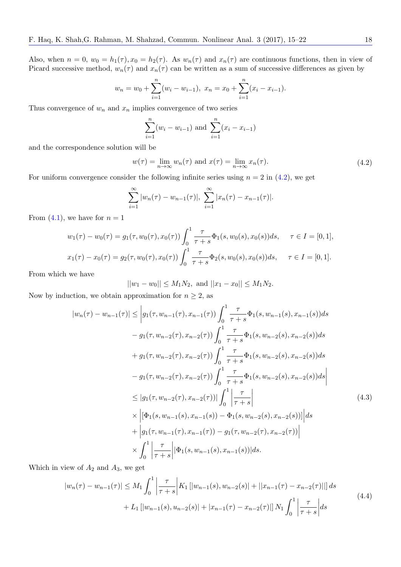Also, when  $n = 0$ ,  $w_0 = h_1(\tau)$ ,  $x_0 = h_2(\tau)$ . As  $w_n(\tau)$  and  $x_n(\tau)$  are continuous functions, then in view of Picard successive method,  $w_n(\tau)$  and  $x_n(\tau)$  can be written as a sum of successive differences as given by

$$
w_n = w_0 + \sum_{i=1}^n (w_i - w_{i-1}), \ x_n = x_0 + \sum_{i=1}^n (x_i - x_{i-1}).
$$

Thus convergence of  $w_n$  and  $x_n$  implies convergence of two series

$$
\sum_{i=1}^{n} (w_i - w_{i-1})
$$
 and 
$$
\sum_{i=1}^{n} (x_i - x_{i-1})
$$

and the correspondence solution will be

$$
w(\tau) = \lim_{n \to \infty} w_n(\tau) \text{ and } x(\tau) = \lim_{n \to \infty} x_n(\tau). \tag{4.2}
$$

For uniform convergence consider the following infinite series using  $n = 2$  in  $(4.2)$ , we get

$$
\sum_{i=1}^{\infty} |w_n(\tau) - w_{n-1}(\tau)|, \sum_{i=1}^{\infty} |x_n(\tau) - x_{n-1}(\tau)|.
$$

From  $(4.1)$ , we have for  $n = 1$ 

$$
w_1(\tau) - w_0(\tau) = g_1(\tau, w_0(\tau), x_0(\tau)) \int_0^1 \frac{\tau}{\tau + s} \Phi_1(s, w_0(s), x_0(s)) ds, \quad \tau \in I = [0, 1],
$$
  

$$
x_1(\tau) - x_0(\tau) = g_2(\tau, w_0(\tau), x_0(\tau)) \int_0^1 \frac{\tau}{\tau + s} \Phi_2(s, w_0(s), x_0(s)) ds, \quad \tau \in I = [0, 1].
$$

From which we have

$$
||w_1 - w_0|| \le M_1 N_2
$$
, and  $||x_1 - x_0|| \le M_1 N_2$ .

Now by induction, we obtain approximation for  $n \geq 2$ , as

$$
|w_{n}(\tau) - w_{n-1}(\tau)| \leq |g_{1}(\tau, w_{n-1}(\tau), x_{n-1}(\tau)) \int_{0}^{1} \frac{\tau}{\tau + s} \Phi_{1}(s, w_{n-1}(s), x_{n-1}(s)) ds - g_{1}(\tau, w_{n-2}(\tau), x_{n-2}(\tau)) \int_{0}^{1} \frac{\tau}{\tau + s} \Phi_{1}(s, w_{n-2}(s), x_{n-2}(s)) ds + g_{1}(\tau, w_{n-2}(\tau), x_{n-2}(\tau)) \int_{0}^{1} \frac{\tau}{\tau + s} \Phi_{1}(s, w_{n-2}(s), x_{n-2}(s)) ds - g_{1}(\tau, w_{n-2}(\tau), x_{n-2}(\tau)) \int_{0}^{1} \frac{\tau}{\tau + s} \Phi_{1}(s, w_{n-2}(s), x_{n-2}(s)) ds \leq |g_{1}(\tau, w_{n-2}(\tau), x_{n-2}(\tau))| \int_{0}^{1} \left| \frac{\tau}{\tau + s} \right| \times \left| [\Phi_{1}(s, w_{n-1}(s), x_{n-1}(s)) - \Phi_{1}(s, w_{n-2}(s), x_{n-2}(s))] \right| ds + |g_{1}(\tau, w_{n-1}(\tau), x_{n-1}(\tau)) - g_{1}(\tau, w_{n-2}(\tau), x_{n-2}(\tau))| \leq \int_{0}^{1} \left| \frac{\tau}{\tau + s} \right| |\Phi_{1}(s, w_{n-1}(s), x_{n-1}(s))| ds.
$$
\n
$$
(4.3)
$$

Which in view of *A*<sup>2</sup> and *A*3, we get

$$
|w_n(\tau) - w_{n-1}(\tau)| \le M_1 \int_0^1 \left| \frac{\tau}{\tau + s} \right| K_1 \left[ |w_{n-1}(s), w_{n-2}(s)| + ||x_{n-1}(\tau) - x_{n-2}(\tau)|| \right] ds
$$
  
+  $L_1 \left[ |w_{n-1}(s), u_{n-2}(s)| + |x_{n-1}(\tau) - x_{n-2}(\tau)| \right] N_1 \int_0^1 \left| \frac{\tau}{\tau + s} \right| ds$  (4.4)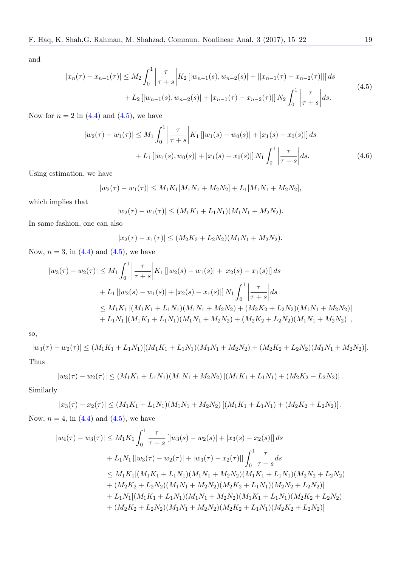and

$$
|x_n(\tau) - x_{n-1}(\tau)| \le M_2 \int_0^1 \left| \frac{\tau}{\tau + s} \right| K_2 \left[ |w_{n-1}(s), w_{n-2}(s)| + ||x_{n-1}(\tau) - x_{n-2}(\tau)|| \right] ds
$$
  
+  $L_2 \left[ |w_{n-1}(s), w_{n-2}(s)| + |x_{n-1}(\tau) - x_{n-2}(\tau)| \right] N_2 \int_0^1 \left| \frac{\tau}{\tau + s} \right| ds.$  (4.5)

Now for  $n = 2$  in  $(4.4)$  and  $(4.5)$ , we have

$$
|w_2(\tau) - w_1(\tau)| \le M_1 \int_0^1 \left| \frac{\tau}{\tau + s} \right| K_1 \left[ |w_1(s) - w_0(s)| + |x_1(s) - x_0(s)| \right] ds
$$
  
+  $L_1 \left[ |w_1(s), w_0(s)| + |x_1(s) - x_0(s)| \right] N_1 \int_0^1 \left| \frac{\tau}{\tau + s} \right| ds.$  (4.6)

Using estimation, we have

$$
|w_2(\tau) - w_1(\tau)| \le M_1 K_1 [M_1 N_1 + M_2 N_2] + L_1 [M_1 N_1 + M_2 N_2],
$$

which implies that

$$
|w_2(\tau) - w_1(\tau)| \le (M_1 K_1 + L_1 N_1)(M_1 N_1 + M_2 N_2).
$$

In same fashion, one can also

$$
|x_2(\tau) - x_1(\tau)| \le (M_2K_2 + L_2N_2)(M_1N_1 + M_2N_2).
$$

Now,  $n = 3$ , in  $(4.4)$  and  $(4.5)$ , we have

$$
|w_3(\tau) - w_2(\tau)| \le M_1 \int_0^1 \left| \frac{\tau}{\tau + s} \right| K_1 \left[ |w_2(s) - w_1(s)| + |x_2(s) - x_1(s)| \right] ds
$$
  
+  $L_1 \left[ |w_2(s) - w_1(s)| + |x_2(s) - x_1(s)| \right] N_1 \int_0^1 \left| \frac{\tau}{\tau + s} \right| ds$   
 $\le M_1 K_1 \left[ (M_1 K_1 + L_1 N_1)(M_1 N_1 + M_2 N_2) + (M_2 K_2 + L_2 N_2)(M_1 N_1 + M_2 N_2) \right] + L_1 N_1 \left[ (M_1 K_1 + L_1 N_1)(M_1 N_1 + M_2 N_2) + (M_2 K_2 + L_2 N_2)(M_1 N_1 + M_2 N_2) \right],$ 

so,

 $|w_3(\tau) - w_2(\tau)| \leq (M_1K_1 + L_1N_1)[(M_1K_1 + L_1N_1)(M_1N_1 + M_2N_2) + (M_2K_2 + L_2N_2)(M_1N_1 + M_2N_2)].$ Thus

$$
|w_3(\tau) - w_2(\tau)| \le (M_1K_1 + L_1N_1)(M_1N_1 + M_2N_2) [(M_1K_1 + L_1N_1) + (M_2K_2 + L_2N_2)].
$$

Similarly

$$
|x_3(\tau) - x_2(\tau)| \le (M_1K_1 + L_1N_1)(M_1N_1 + M_2N_2)[(M_1K_1 + L_1N_1) + (M_2K_2 + L_2N_2)].
$$

Now,  $n = 4$ , in  $(4.4)$  and  $(4.5)$ , we have

$$
|w_4(\tau) - w_3(\tau)| \le M_1 K_1 \int_0^1 \frac{\tau}{\tau + s} \left[ |w_3(s) - w_2(s)| + |x_3(s) - x_2(s)| \right] ds
$$
  
+  $L_1 N_1 \left[ |w_3(\tau) - w_2(\tau)| + |w_3(\tau) - x_2(\tau)| \right] \int_0^1 \frac{\tau}{\tau + s} ds$   
 $\le M_1 K_1 \left[ (M_1 K_1 + L_1 N_1)(M_1 N_1 + M_2 N_2)(M_1 K_1 + L_1 N_1)(M_2 N_2 + L_2 N_2) \right]$   
+  $(M_2 K_2 + L_2 N_2)(M_1 N_1 + M_2 N_2)(M_2 K_2 + L_1 N_1)(M_2 N_2 + L_2 N_2) \right] + L_1 N_1 \left[ (M_1 K_1 + L_1 N_1)(M_1 N_1 + M_2 N_2)(M_1 K_1 + L_1 N_1)(M_2 K_2 + L_2 N_2) \right]$   
+  $(M_2 K_2 + L_2 N_2)(M_1 N_1 + M_2 N_2)(M_2 K_2 + L_1 N_1)(M_2 K_2 + L_2 N_2) \right]$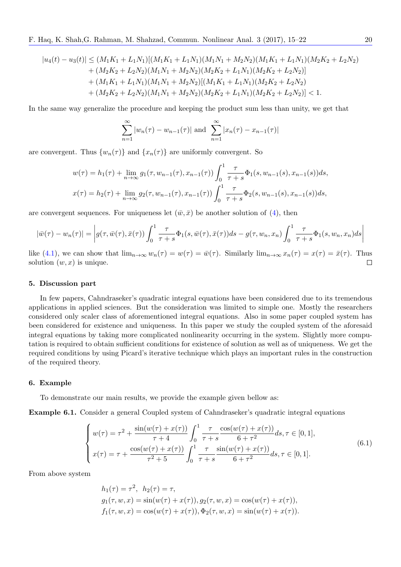$$
|u_4(t) - u_3(t)| \leq (M_1K_1 + L_1N_1)[(M_1K_1 + L_1N_1)(M_1N_1 + M_2N_2)(M_1K_1 + L_1N_1)(M_2K_2 + L_2N_2) + (M_2K_2 + L_2N_2)(M_1N_1 + M_2N_2)(M_2K_2 + L_1N_1)(M_2K_2 + L_2N_2)] + (M_1K_1 + L_1N_1)(M_1N_1 + M_2N_2)[(M_1K_1 + L_1N_1)(M_2K_2 + L_2N_2) + (M_2K_2 + L_2N_2)(M_1N_1 + M_2N_2)(M_2K_2 + L_1N_1)(M_2K_2 + L_2N_2)] < 1.
$$

In the same way generalize the procedure and keeping the product sum less than unity, we get that

$$
\sum_{n=1}^{\infty} |w_n(\tau) - w_{n-1}(\tau)| \text{ and } \sum_{n=1}^{\infty} |x_n(\tau) - x_{n-1}(\tau)|
$$

are convergent. Thus  $\{w_n(\tau)\}\$  and  $\{x_n(\tau)\}\$  are uniformly convergent. So

$$
w(\tau) = h_1(\tau) + \lim_{n \to \infty} g_1(\tau, w_{n-1}(\tau), x_{n-1}(\tau)) \int_0^1 \frac{\tau}{\tau + s} \Phi_1(s, w_{n-1}(s), x_{n-1}(s)) ds,
$$
  

$$
x(\tau) = h_2(\tau) + \lim_{n \to \infty} g_2(\tau, w_{n-1}(\tau), x_{n-1}(\tau)) \int_0^1 \frac{\tau}{\tau + s} \Phi_2(s, w_{n-1}(s), x_{n-1}(s)) ds,
$$

are convergent sequences. For uniqueness let  $(\bar{w}, \bar{x})$  be another solution of (4), then

$$
|\bar{w}(\tau) - w_n(\tau)| = \left| g(\tau, \bar{w}(\tau), \bar{x}(\tau)) \int_0^1 \frac{\tau}{\tau + s} \Phi_1(s, \bar{w}(\tau), \bar{x}(\tau)) ds - g(\tau, w_n, x_n) \int_0^1 \frac{\tau}{\tau + s} \Phi_1(s, w_n, x_n) ds \right|
$$

like (4.1), we can show that  $\lim_{n\to\infty} w_n(\tau) = w(\tau) = \bar{w}(\tau)$ . Similarly  $\lim_{n\to\infty} x_n(\tau) = x(\tau) = \bar{x}(\tau)$ . Thus solution  $(w, x)$  is unique. solution  $(w, x)$  is unique.

#### **5. [Disc](#page-2-2)ussion part**

In few papers, Cahndraseker's quadratic integral equations have been considered due to its tremendous applications in applied sciences. But the consideration was limited to simple one. Mostly the researchers considered only scaler class of aforementioned integral equations. Also in some paper coupled system has been considered for existence and uniqueness. In this paper we study the coupled system of the aforesaid integral equations by taking more complicated nonlinearity occurring in the system. Slightly more computation is required to obtain sufficient conditions for existence of solution as well as of uniqueness. We get the required conditions by using Picard's iterative technique which plays an important rules in the construction of the required theory.

#### **6. Example**

To demonstrate our main results, we provide the example given bellow as:

**Example 6.1.** Consider a general Coupled system of Cahndraseker's quadratic integral equations

$$
\begin{cases}\nw(\tau) = \tau^2 + \frac{\sin(w(\tau) + x(\tau))}{\tau + 4} \int_0^1 \frac{\tau}{\tau + s} \frac{\cos(w(\tau) + x(\tau))}{6 + \tau^2} ds, \tau \in [0, 1], \\
x(\tau) = \tau + \frac{\cos(w(\tau) + x(\tau))}{\tau^2 + 5} \int_0^1 \frac{\tau}{\tau + s} \frac{\sin(w(\tau) + x(\tau))}{6 + \tau^2} ds, \tau \in [0, 1].\n\end{cases} (6.1)
$$

From above system

<span id="page-5-0"></span>
$$
h_1(\tau) = \tau^2, \quad h_2(\tau) = \tau,
$$
  
\n
$$
g_1(\tau, w, x) = \sin(w(\tau) + x(\tau)), g_2(\tau, w, x) = \cos(w(\tau) + x(\tau)),
$$
  
\n
$$
f_1(\tau, w, x) = \cos(w(\tau) + x(\tau)), \Phi_2(\tau, w, x) = \sin(w(\tau) + x(\tau)).
$$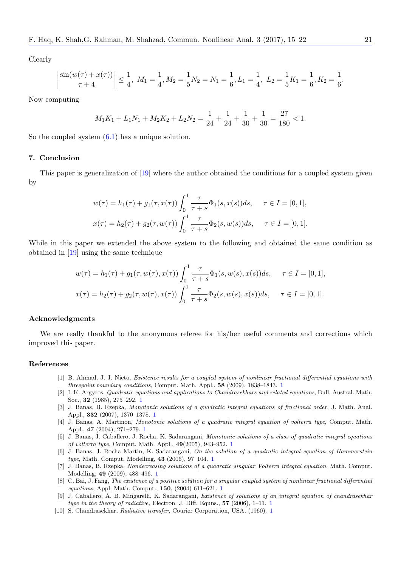Clearly

$$
\left| \frac{\sin(w(\tau) + x(\tau))}{\tau + 4} \right| \le \frac{1}{4}, \ M_1 = \frac{1}{4}, M_2 = \frac{1}{5}N_2 = N_1 = \frac{1}{6}, L_1 = \frac{1}{4}, \ L_2 = \frac{1}{5}K_1 = \frac{1}{6}, K_2 = \frac{1}{6}
$$

Now computing

$$
M_1K_1 + L_1N_1 + M_2K_2 + L_2N_2 = \frac{1}{24} + \frac{1}{24} + \frac{1}{30} + \frac{1}{30} = \frac{27}{180} < 1.
$$

So the coupled system  $(6.1)$  has a unique solution.

#### **7. Conclusion**

<span id="page-6-10"></span>This paper is genera[liza](#page-5-0)tion of [19] where the author obtained the conditions for a coupled system given by

$$
w(\tau) = h_1(\tau) + g_1(\tau, x(\tau)) \int_0^1 \frac{\tau}{\tau + s} \Phi_1(s, x(s)) ds, \quad \tau \in I = [0, 1],
$$
  

$$
x(\tau) = h_2(\tau) + g_2(\tau, w(\tau)) \int_0^1 \frac{\tau}{\tau + s} \Phi_2(s, w(s)) ds, \quad \tau \in I = [0, 1].
$$

While in this paper we extended the above system to the following and obtained the same condition as obtained in [19] using the same technique

$$
w(\tau) = h_1(\tau) + g_1(\tau, w(\tau), x(\tau)) \int_0^1 \frac{\tau}{\tau + s} \Phi_1(s, w(s), x(s)) ds, \quad \tau \in I = [0, 1],
$$
  

$$
x(\tau) = h_2(\tau) + g_2(\tau, w(\tau), x(\tau)) \int_0^1 \frac{\tau}{\tau + s} \Phi_2(s, w(s), x(s)) ds, \quad \tau \in I = [0, 1].
$$

# **Acknowledgments**

We are really thankful to the anonymous referee for his/her useful comments and corrections which improved this paper.

### **References**

- [1] B. Ahmad, J. J. Nieto, *Existence results for a coupled system of nonlinear fractional differential equations with threepoint boundary conditions*, Comput. Math. Appl., **58** (2009), 1838–1843. 1
- [2] I. K. Argyros, *Quadratic equations and applications to Chandrasekhars and related equations*, Bull. Austral. Math. Soc., **32** (1985), 275–292. 1
- <span id="page-6-7"></span>[3] J. Banas, B. Rzepka, *Monotonic solutions of a quadratic integral equations of fractional order*, J. Math. Anal. Appl., **332** (2007), 1370–1378. 1
- <span id="page-6-9"></span>[4] J. Banas, A. Martinon, *Monotonic solutions of a quadratic integral equation [o](#page-0-0)f volterra type*, Comput. Math. Appl., **47** (2004), 271–279. 1
- <span id="page-6-2"></span>[5] J. Banas, J. Caballero, J. [R](#page-0-0)ocha, K. Sadarangani, *Monotonic solutions of a class of quadratic integral equations of volterra type*, Comput. Math. Appl., **49**(2005), 943–952. 1
- <span id="page-6-3"></span>[6] J. Banas, J. Rocha Martin, K[. S](#page-0-0)adarangani, *On the solution of a quadratic integral equation of Hammerstein type*, Math. Comput. Modelling, **43** (2006), 97–104. 1
- <span id="page-6-4"></span>[7] J. Banas, B. Rzepka, *Nond[ec](#page-0-0)reasing solutions of a quadratic singular Volterra integral equation*, Math. Comput. Modelling, **49** (2009), 488–496. 1
- <span id="page-6-5"></span>[8] C. Bai, J. Fang, *The existence of a positive solution for a sing[ul](#page-0-0)ar coupled system of nonlinear fractional differential equations*, Appl. Math. Comput., **150**, (2004) 611–621. 1
- <span id="page-6-6"></span>[9] J. Caballero, A. B. Mingarelli, K. Sadarangani, *Exi[st](#page-0-0)ence of solutions of an integral equation of chandrasekhar type in the theory of radiative,* Electron. J. Diff. Equns., **57** (2006), 1–11. 1
- <span id="page-6-8"></span><span id="page-6-1"></span><span id="page-6-0"></span>[10] S. Chandrasekhar, *Radiative tr[an](#page-0-0)sfer,* Courier Corporation, USA, (1960). 1

*.*